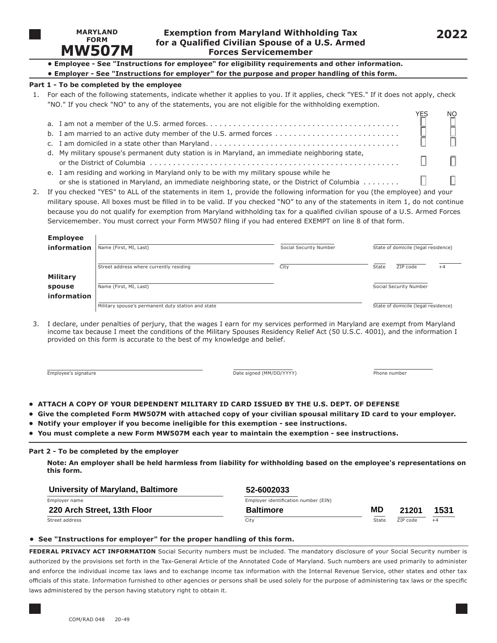

# **Exemption from Maryland Withholding Tax FORM <sup>202</sup>2 for a Qualified Civilian Spouse of a U.S. Armed Forces Servicemember**

**• Employee - See "Instructions for employee" for eligibility requirements and other information.**

|  | • Employer - See "Instructions for employer" for the purpose and proper handling of this form. |  |  |  |  |
|--|------------------------------------------------------------------------------------------------|--|--|--|--|

# **Part 1 - To be completed by the employee**

1. For each of the following statements, indicate whether it applies to you. If it applies, check "YES." If it does not apply, check "NO." If you check "NO" to any of the statements, you are not eligible for the withholding exemption.

|                                                                                                                     | NO.           |
|---------------------------------------------------------------------------------------------------------------------|---------------|
|                                                                                                                     | $\frac{1}{1}$ |
|                                                                                                                     |               |
|                                                                                                                     |               |
| d. My military spouse's permanent duty station is in Maryland, an immediate neighboring state,                      |               |
|                                                                                                                     |               |
| e. I am residing and working in Maryland only to be with my military spouse while he                                |               |
| or she is stationed in Maryland, an immediate neighboring state, or the District of Columbia $\ldots \ldots \ldots$ |               |

2. If you checked "YES" to ALL of the statements in item 1, provide the following information for you (the employee) and your military spouse. All boxes must be filled in to be valid. If you checked "NO" to any of the statements in item 1, do not continue because you do not qualify for exemption from Maryland withholding tax for a qualified civilian spouse of a U.S. Armed Forces Servicemember. You must correct your Form MW507 filing if you had entered EXEMPT on line 8 of that form.

| <b>Employee</b> |                                                    |                                     |                                     |  |  |
|-----------------|----------------------------------------------------|-------------------------------------|-------------------------------------|--|--|
| information     | Name (First, MI, Last)                             | Social Security Number              | State of domicile (legal residence) |  |  |
|                 |                                                    |                                     |                                     |  |  |
|                 | Street address where currently residing            | City                                | ZIP code<br>State<br>$+4$           |  |  |
| <b>Military</b> |                                                    |                                     |                                     |  |  |
| spouse          | Name (First, MI, Last)                             |                                     | Social Security Number              |  |  |
| information     |                                                    |                                     |                                     |  |  |
|                 | Military spouse's permanent duty station and state | State of domicile (legal residence) |                                     |  |  |

3. I declare, under penalties of perjury, that the wages I earn for my services performed in Maryland are exempt from Maryland income tax because I meet the conditions of the Military Spouses Residency Relief Act (50 U.S.C. 4001), and the information I provided on this form is accurate to the best of my knowledge and belief.

Employee's signature **Employee's signature** and the signature of the signature of the signature of the signature of the signature of the signature of the signature of the signature of the signature of the signature of the

# **• ATTACH A COPY OF YOUR DEPENDENT MILITARY ID CARD ISSUED BY THE U.S. DEPT. OF DEFENSE**

- **Give the completed Form MW507M with attached copy of your civilian spousal military ID card to your employer.**
- **Notify your employer if you become ineligible for this exemption see instructions.**
- **You must complete a new Form MW507M each year to maintain the exemption see instructions.**

# **Part 2 - To be completed by the employer**

**Note: An employer shall be held harmless from liability for withholding based on the employee's representations on this form.**

| University of Maryland, Baltimore | 52-6002033                           |       |          |      |
|-----------------------------------|--------------------------------------|-------|----------|------|
| Employer name                     | Employer identification number (EIN) |       |          |      |
| 220 Arch Street, 13th Floor       | <b>Baltimore</b>                     | MD    | 21201    | 1531 |
| Street address                    | City                                 | State | ZIP code | $+4$ |

# **• See "Instructions for employer" for the proper handling of this form.**

**FEDERAL PRIVACY ACT INFORMATION** Social Security numbers must be included. The mandatory disclosure of your Social Security number is authorized by the provisions set forth in the Tax-General Article of the Annotated Code of Maryland. Such numbers are used primarily to administer and enforce the individual income tax laws and to exchange income tax information with the Internal Revenue Service, other states and other tax officials of this state. Information furnished to other agencies or persons shall be used solely for the purpose of administering tax laws or the specific laws administered by the person having statutory right to obtain it.